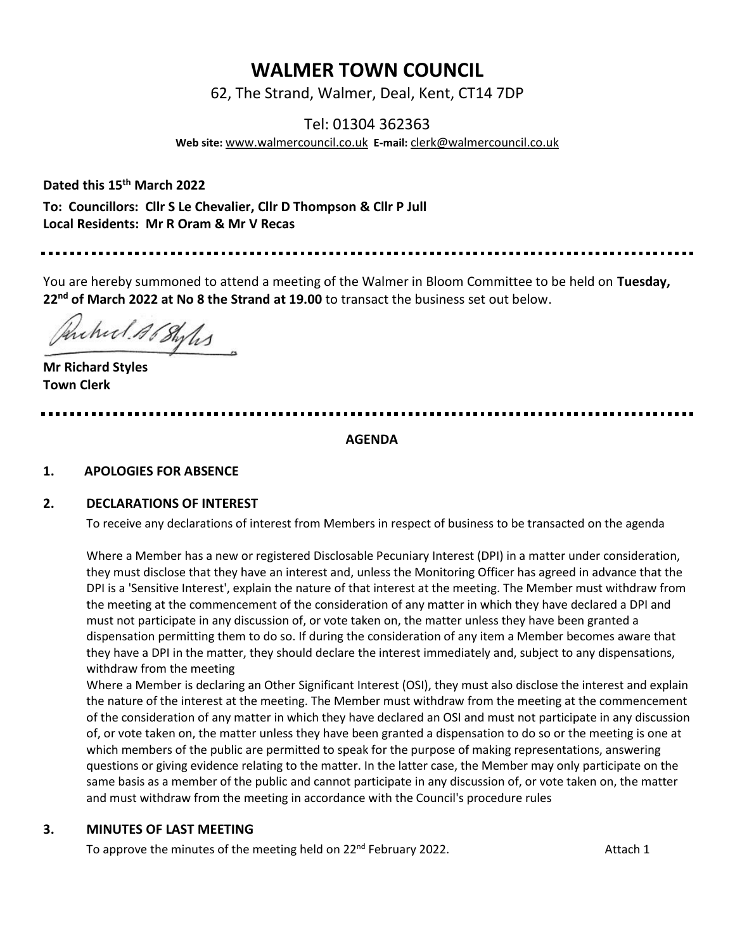# **WALMER TOWN COUNCIL**

62, The Strand, Walmer, Deal, Kent, CT14 7DP

# Tel: 01304 362363

**Web site:** [www.walmercouncil.co.uk](http://www.walmercouncil.co.uk/) **E-mail:** [clerk@walmercouncil.co.uk](mailto:clerk@walmercouncil.co.uk)

**Dated this 15th March 2022**

**To: Councillors: Cllr S Le Chevalier, Cllr D Thompson & Cllr P Jull Local Residents: Mr R Oram & Mr V Recas**

You are hereby summoned to attend a meeting of the Walmer in Bloom Committee to be held on **Tuesday, 22nd of March 2022 at No 8 the Strand at 19.00** to transact the business set out below.

Anched AG Styles

**Mr Richard Styles Town Clerk** 

**AGENDA**

#### **1. APOLOGIES FOR ABSENCE**

#### **2. DECLARATIONS OF INTEREST**

To receive any declarations of interest from Members in respect of business to be transacted on the agenda

Where a Member has a new or registered Disclosable Pecuniary Interest (DPI) in a matter under consideration, they must disclose that they have an interest and, unless the Monitoring Officer has agreed in advance that the DPI is a 'Sensitive Interest', explain the nature of that interest at the meeting. The Member must withdraw from the meeting at the commencement of the consideration of any matter in which they have declared a DPI and must not participate in any discussion of, or vote taken on, the matter unless they have been granted a dispensation permitting them to do so. If during the consideration of any item a Member becomes aware that they have a DPI in the matter, they should declare the interest immediately and, subject to any dispensations, withdraw from the meeting

Where a Member is declaring an Other Significant Interest (OSI), they must also disclose the interest and explain the nature of the interest at the meeting. The Member must withdraw from the meeting at the commencement of the consideration of any matter in which they have declared an OSI and must not participate in any discussion of, or vote taken on, the matter unless they have been granted a dispensation to do so or the meeting is one at which members of the public are permitted to speak for the purpose of making representations, answering questions or giving evidence relating to the matter. In the latter case, the Member may only participate on the same basis as a member of the public and cannot participate in any discussion of, or vote taken on, the matter and must withdraw from the meeting in accordance with the Council's procedure rules

#### **3. MINUTES OF LAST MEETING**

To approve the minutes of the meeting held on  $22^{nd}$  February 2022. Attach 1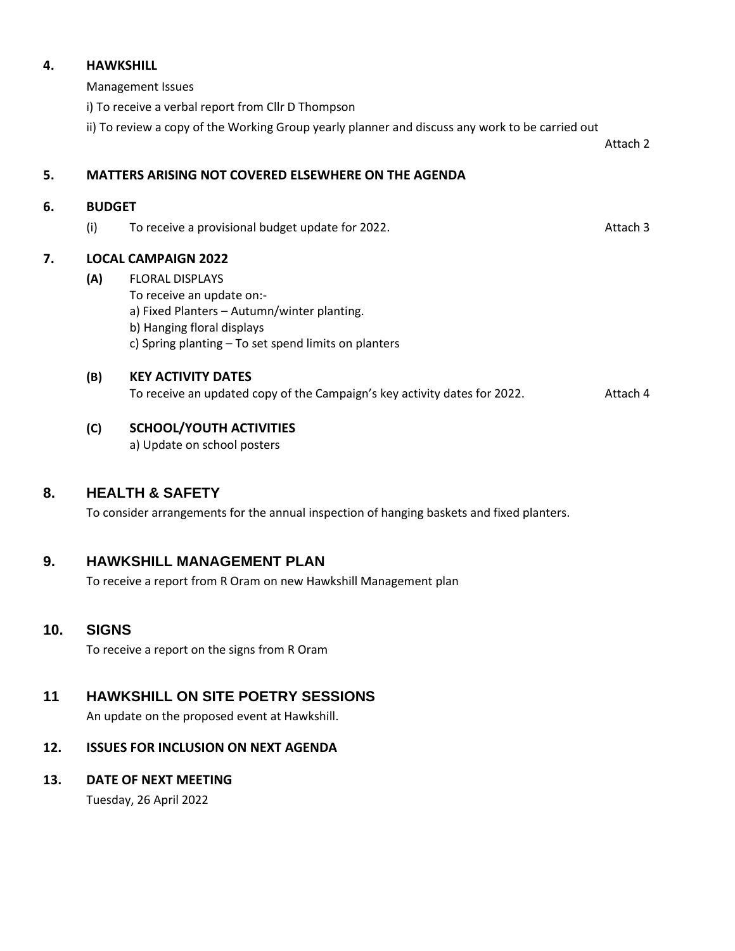#### **4. HAWKSHILL**

Management Issues

i) To receive a verbal report from Cllr D Thompson

ii) To review a copy of the Working Group yearly planner and discuss any work to be carried out

Attach 2

# **5. MATTERS ARISING NOT COVERED ELSEWHERE ON THE AGENDA**

# **6. BUDGET**

(i) To receive a provisional budget update for 2022. Attach 3

# **7. LOCAL CAMPAIGN 2022**

**(A)** FLORAL DISPLAYS To receive an update on: a) Fixed Planters – Autumn/winter planting. b) Hanging floral displays c) Spring planting – To set spend limits on planters

#### **(B) KEY ACTIVITY DATES**

To receive an updated copy of the Campaign's key activity dates for 2022.Attach 4

# **(C) SCHOOL/YOUTH ACTIVITIES**

a) Update on school posters

# **8. HEALTH & SAFETY**

To consider arrangements for the annual inspection of hanging baskets and fixed planters.

# **9. HAWKSHILL MANAGEMENT PLAN**

To receive a report from R Oram on new Hawkshill Management plan

# **10. SIGNS**

To receive a report on the signs from R Oram

# **11 HAWKSHILL ON SITE POETRY SESSIONS**

An update on the proposed event at Hawkshill.

# **12. ISSUES FOR INCLUSION ON NEXT AGENDA**

# **13. DATE OF NEXT MEETING**

Tuesday, 26 April 2022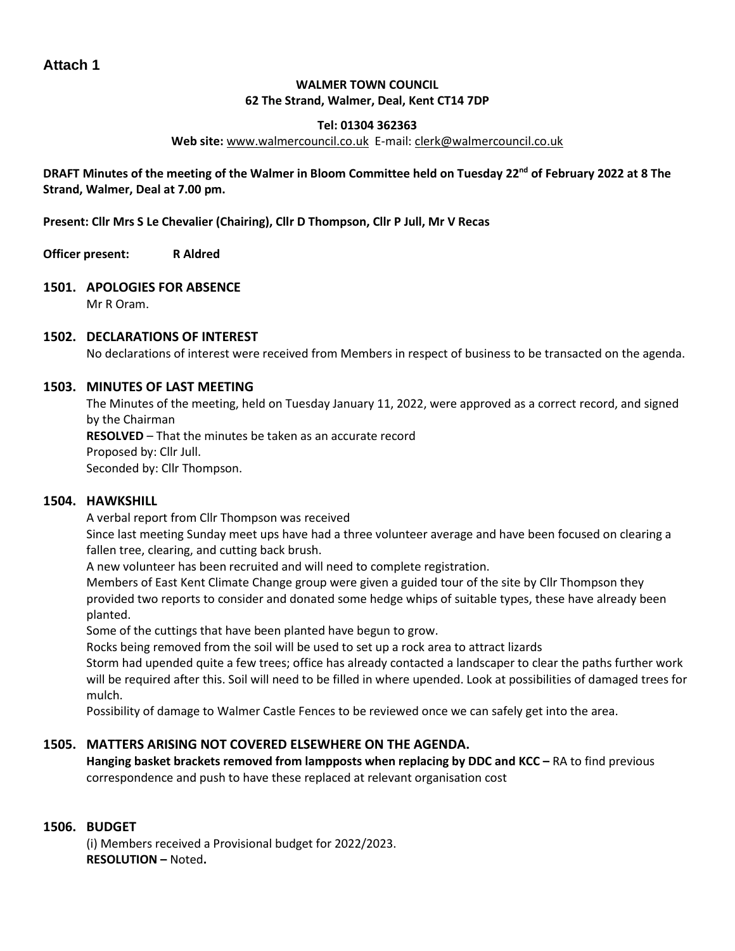# **WALMER TOWN COUNCIL 62 The Strand, Walmer, Deal, Kent CT14 7DP**

### **Tel: 01304 362363**

#### **Web site:** [www.walmercouncil.co.uk](http://www.walmercouncil.co.uk/) E-mail[: clerk@walmercouncil.co.uk](mailto:clerk@walmercouncil.co.uk)

#### **DRAFT Minutes of the meeting of the Walmer in Bloom Committee held on Tuesday 22nd of February 2022 at 8 The Strand, Walmer, Deal at 7.00 pm.**

**Present: Cllr Mrs S Le Chevalier (Chairing), Cllr D Thompson, Cllr P Jull, Mr V Recas**

**Officer present: R Aldred**

#### **1501. APOLOGIES FOR ABSENCE**

Mr R Oram.

#### **1502. DECLARATIONS OF INTEREST**

No declarations of interest were received from Members in respect of business to be transacted on the agenda.

#### **1503. MINUTES OF LAST MEETING**

The Minutes of the meeting, held on Tuesday January 11, 2022, were approved as a correct record, and signed by the Chairman

**RESOLVED** – That the minutes be taken as an accurate record Proposed by: Cllr Jull.

Seconded by: Cllr Thompson.

#### **1504. HAWKSHILL**

A verbal report from Cllr Thompson was received

Since last meeting Sunday meet ups have had a three volunteer average and have been focused on clearing a fallen tree, clearing, and cutting back brush.

A new volunteer has been recruited and will need to complete registration.

Members of East Kent Climate Change group were given a guided tour of the site by Cllr Thompson they provided two reports to consider and donated some hedge whips of suitable types, these have already been planted.

Some of the cuttings that have been planted have begun to grow.

Rocks being removed from the soil will be used to set up a rock area to attract lizards

Storm had upended quite a few trees; office has already contacted a landscaper to clear the paths further work will be required after this. Soil will need to be filled in where upended. Look at possibilities of damaged trees for mulch.

Possibility of damage to Walmer Castle Fences to be reviewed once we can safely get into the area.

#### **1505. MATTERS ARISING NOT COVERED ELSEWHERE ON THE AGENDA.**

**Hanging basket brackets removed from lampposts when replacing by DDC and KCC – RA to find previous** correspondence and push to have these replaced at relevant organisation cost

#### **1506. BUDGET**

(i) Members received a Provisional budget for 2022/2023. **RESOLUTION –** Noted**.**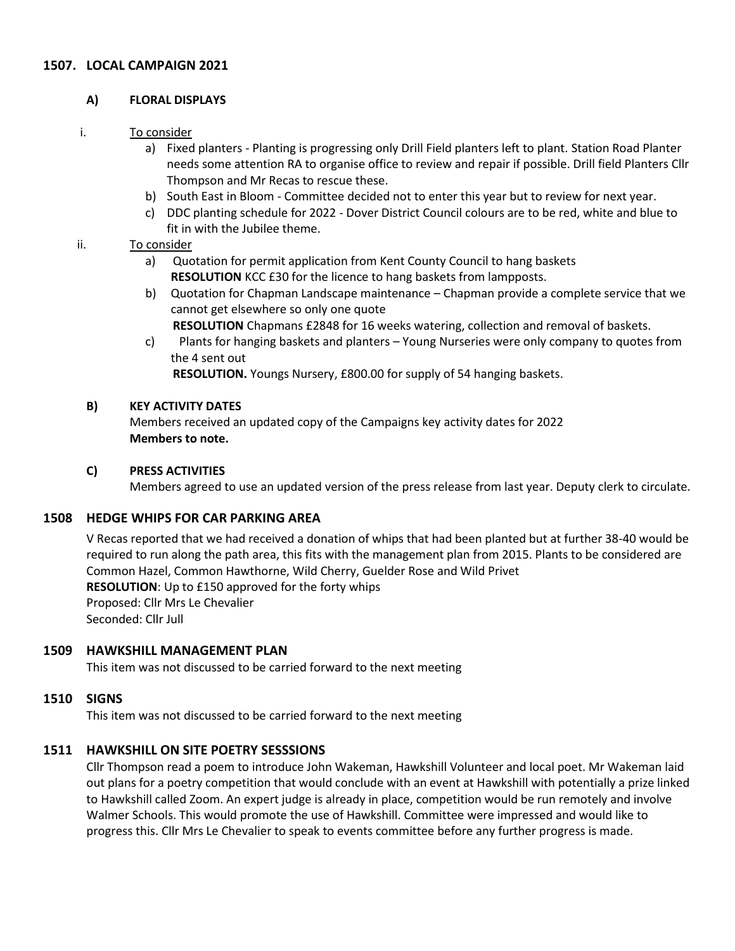### **1507. LOCAL CAMPAIGN 2021**

#### **A) FLORAL DISPLAYS**

#### i. To consider

- a) Fixed planters Planting is progressing only Drill Field planters left to plant. Station Road Planter needs some attention RA to organise office to review and repair if possible. Drill field Planters Cllr Thompson and Mr Recas to rescue these.
- b) South East in Bloom Committee decided not to enter this year but to review for next year.
- c) DDC planting schedule for 2022 Dover District Council colours are to be red, white and blue to fit in with the Jubilee theme.

#### ii. To consider

- a) Quotation for permit application from Kent County Council to hang baskets **RESOLUTION** KCC £30 for the licence to hang baskets from lampposts.
- b) Quotation for Chapman Landscape maintenance Chapman provide a complete service that we cannot get elsewhere so only one quote
	- **RESOLUTION** Chapmans £2848 for 16 weeks watering, collection and removal of baskets.
- c) Plants for hanging baskets and planters Young Nurseries were only company to quotes from the 4 sent out

**RESOLUTION.** Youngs Nursery, £800.00 for supply of 54 hanging baskets.

#### **B) KEY ACTIVITY DATES**

Members received an updated copy of the Campaigns key activity dates for 2022 **Members to note.**

#### **C) PRESS ACTIVITIES**

Members agreed to use an updated version of the press release from last year. Deputy clerk to circulate.

# **1508 HEDGE WHIPS FOR CAR PARKING AREA**

V Recas reported that we had received a donation of whips that had been planted but at further 38-40 would be required to run along the path area, this fits with the management plan from 2015. Plants to be considered are Common Hazel, Common Hawthorne, Wild Cherry, Guelder Rose and Wild Privet **RESOLUTION**: Up to £150 approved for the forty whips Proposed: Cllr Mrs Le Chevalier Seconded: Cllr Jull

#### **1509 HAWKSHILL MANAGEMENT PLAN**

This item was not discussed to be carried forward to the next meeting

#### **1510 SIGNS**

This item was not discussed to be carried forward to the next meeting

# **1511 HAWKSHILL ON SITE POETRY SESSSIONS**

Cllr Thompson read a poem to introduce John Wakeman, Hawkshill Volunteer and local poet. Mr Wakeman laid out plans for a poetry competition that would conclude with an event at Hawkshill with potentially a prize linked to Hawkshill called Zoom. An expert judge is already in place, competition would be run remotely and involve Walmer Schools. This would promote the use of Hawkshill. Committee were impressed and would like to progress this. Cllr Mrs Le Chevalier to speak to events committee before any further progress is made.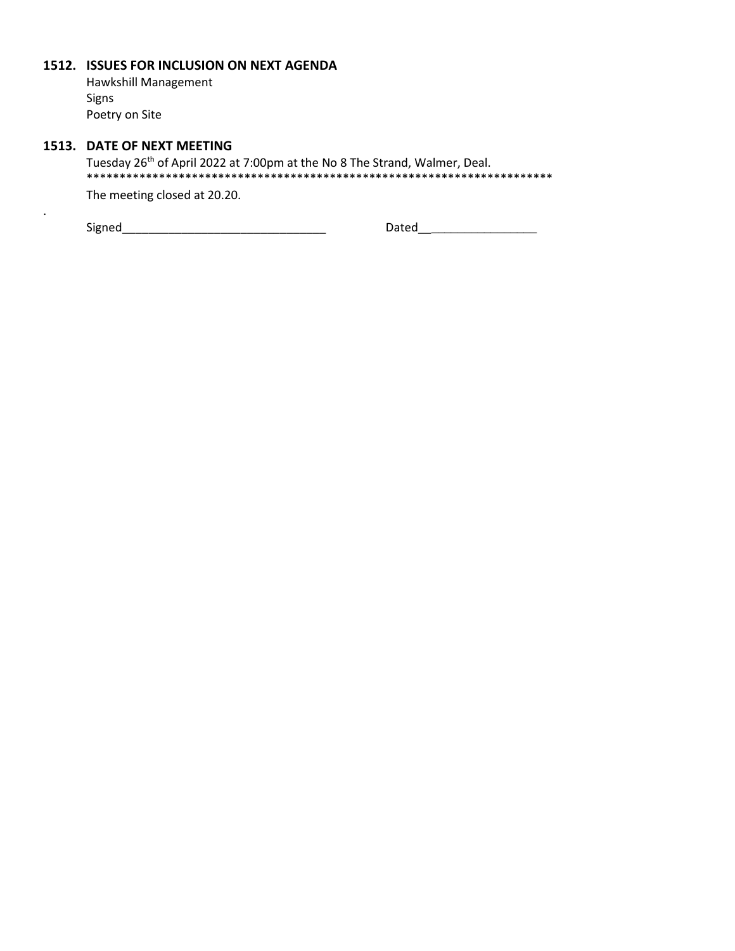#### **1512. ISSUES FOR INCLUSION ON NEXT AGENDA**

Hawkshill Management Signs Poetry on Site

# **1513. DATE OF NEXT MEETING**

.

Tuesday 26<sup>th</sup> of April 2022 at 7:00pm at the No 8 The Strand, Walmer, Deal. \*\*\*\*\*\*\*\*\*\*\*\*\*\*\*\*\*\*\*\*\*\*\*\*\*\*\*\*\*\*\*\*\*\*\*\*\*\*\*\*\*\*\*\*\*\*\*\*\*\*\*\*\*\*\*\*\*\*\*\*\*\*\*\*\*\*\*\*\*\*\*

The meeting closed at 20.20.

 $\textsf{Sigma} \underline{\hspace{2cm}} \underline{\hspace{2cm}} \underline{\hspace{2cm}} \underline{\hspace{2cm}} \underline{\hspace{2cm}} \underline{\hspace{2cm}} \underline{\hspace{2cm}} \underline{\hspace{2cm}} \underline{\hspace{2cm}} \underline{\hspace{2cm}} \underline{\hspace{2cm}} \underline{\hspace{2cm}} \underline{\hspace{2cm}} \underline{\hspace{2cm}} \underline{\hspace{2cm}} \underline{\hspace{2cm}} \underline{\hspace{2cm}} \underline{\hspace{2cm}} \underline{\hspace{2cm}} \underline{\hspace{2cm}} \underline{\hspace{2cm}} \underline{\hspace{2cm}} \underline{\hspace{2cm}} \underline{\hspace{2cm$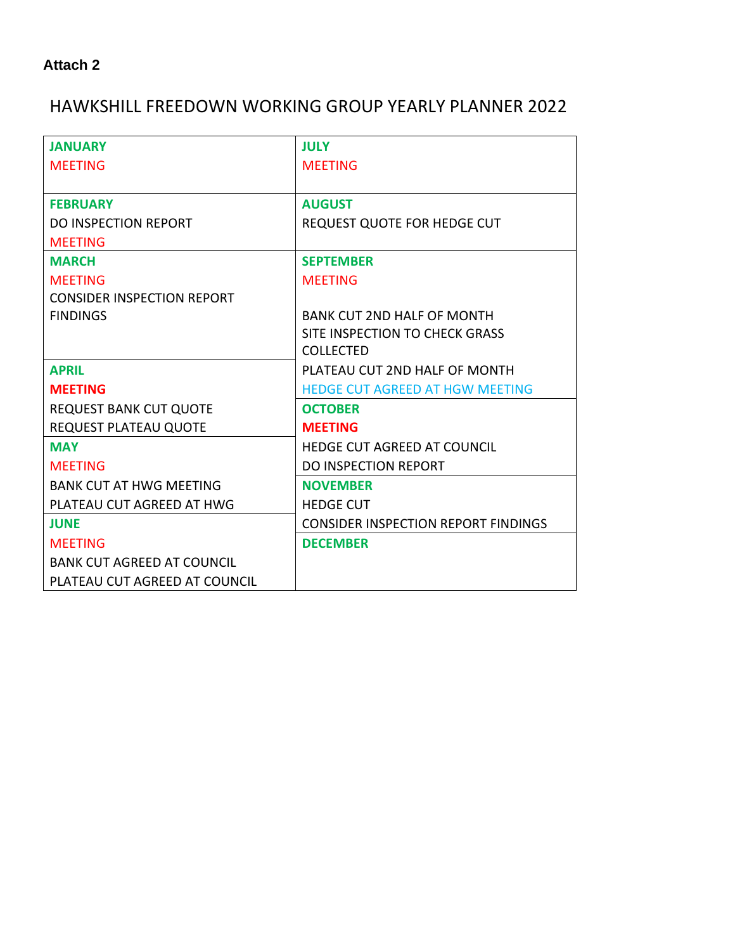# HAWKSHILL FREEDOWN WORKING GROUP YEARLY PLANNER 2022

| <b>JULY</b>                                |
|--------------------------------------------|
| <b>MEETING</b>                             |
|                                            |
| <b>AUGUST</b>                              |
| REQUEST QUOTE FOR HEDGE CUT                |
|                                            |
| <b>SEPTEMBER</b>                           |
| <b>MEETING</b>                             |
|                                            |
| <b>BANK CUT 2ND HALF OF MONTH</b>          |
| SITE INSPECTION TO CHECK GRASS             |
| <b>COLLECTED</b>                           |
| PLATEAU CUT 2ND HALF OF MONTH              |
| <b>HEDGE CUT AGREED AT HGW MEETING</b>     |
| <b>OCTOBER</b>                             |
| <b>MEETING</b>                             |
| <b>HEDGE CUT AGREED AT COUNCIL</b>         |
| <b>DO INSPECTION REPORT</b>                |
| <b>NOVEMBER</b>                            |
| <b>HEDGE CUT</b>                           |
| <b>CONSIDER INSPECTION REPORT FINDINGS</b> |
| <b>DECEMBER</b>                            |
|                                            |
|                                            |
|                                            |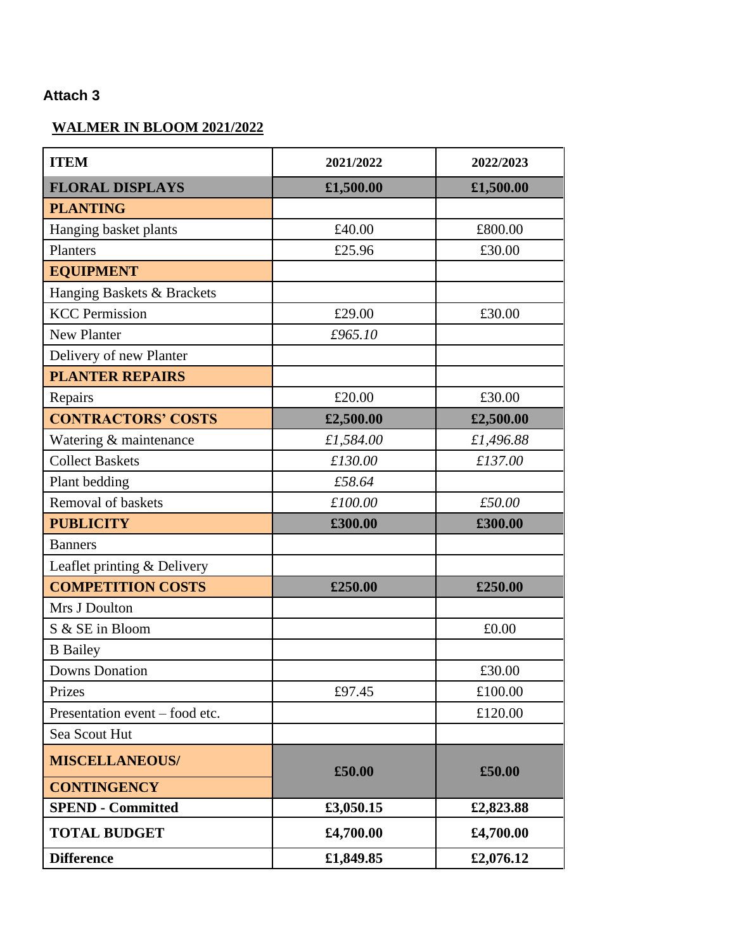# **WALMER IN BLOOM 2021/2022**

| <b>ITEM</b>                    | 2021/2022 | 2022/2023 |
|--------------------------------|-----------|-----------|
| <b>FLORAL DISPLAYS</b>         | £1,500.00 | £1,500.00 |
| <b>PLANTING</b>                |           |           |
| Hanging basket plants          | £40.00    | £800.00   |
| Planters                       | £25.96    | £30.00    |
| <b>EQUIPMENT</b>               |           |           |
| Hanging Baskets & Brackets     |           |           |
| <b>KCC Permission</b>          | £29.00    | £30.00    |
| New Planter                    | £965.10   |           |
| Delivery of new Planter        |           |           |
| <b>PLANTER REPAIRS</b>         |           |           |
| Repairs                        | £20.00    | £30.00    |
| <b>CONTRACTORS' COSTS</b>      | £2,500.00 | £2,500.00 |
| Watering & maintenance         | £1,584.00 | £1,496.88 |
| <b>Collect Baskets</b>         | £130.00   | £137.00   |
| Plant bedding                  | £58.64    |           |
| Removal of baskets             | £100.00   | £50.00    |
| <b>PUBLICITY</b>               | £300.00   | £300.00   |
| <b>Banners</b>                 |           |           |
| Leaflet printing & Delivery    |           |           |
| <b>COMPETITION COSTS</b>       | £250.00   | £250.00   |
| Mrs J Doulton                  |           |           |
| S & SE in Bloom                |           | £0.00     |
| <b>B</b> Bailey                |           |           |
| <b>Downs Donation</b>          |           | £30.00    |
| Prizes                         | £97.45    | £100.00   |
| Presentation event – food etc. |           | £120.00   |
| Sea Scout Hut                  |           |           |
| <b>MISCELLANEOUS/</b>          | £50.00    | £50.00    |
| <b>CONTINGENCY</b>             |           |           |
| <b>SPEND - Committed</b>       | £3,050.15 | £2,823.88 |
| <b>TOTAL BUDGET</b>            | £4,700.00 | £4,700.00 |
| <b>Difference</b>              | £1,849.85 | £2,076.12 |